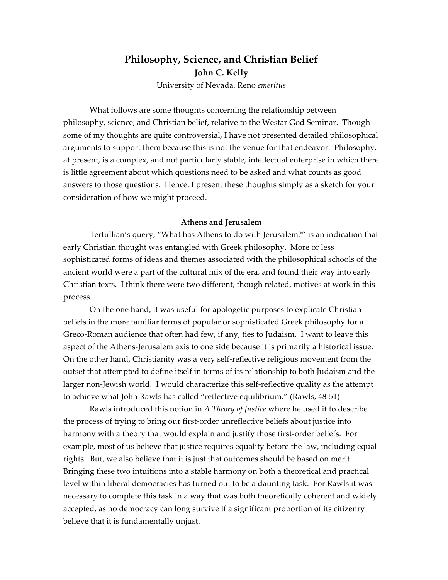# **Philosophy, Science, and Christian Belief John C. Kelly**

University of Nevada, Reno *emeritus*

What follows are some thoughts concerning the relationship between philosophy, science, and Christian belief, relative to the Westar God Seminar. Though some of my thoughts are quite controversial, I have not presented detailed philosophical arguments to support them because this is not the venue for that endeavor. Philosophy, at present, is a complex, and not particularly stable, intellectual enterprise in which there is little agreement about which questions need to be asked and what counts as good answers to those questions. Hence, I present these thoughts simply as a sketch for your consideration of how we might proceed.

#### **Athens and Jerusalem**

Tertullian's query, "What has Athens to do with Jerusalem?" is an indication that early Christian thought was entangled with Greek philosophy. More or less sophisticated forms of ideas and themes associated with the philosophical schools of the ancient world were a part of the cultural mix of the era, and found their way into early Christian texts. I think there were two different, though related, motives at work in this process.

On the one hand, it was useful for apologetic purposes to explicate Christian beliefs in the more familiar terms of popular or sophisticated Greek philosophy for a Greco-Roman audience that often had few, if any, ties to Judaism. I want to leave this aspect of the Athens-Jerusalem axis to one side because it is primarily a historical issue. On the other hand, Christianity was a very self-reflective religious movement from the outset that attempted to define itself in terms of its relationship to both Judaism and the larger non-Jewish world. I would characterize this self-reflective quality as the attempt to achieve what John Rawls has called "reflective equilibrium." (Rawls, 48-51)

Rawls introduced this notion in *A Theory of Justice* where he used it to describe the process of trying to bring our first-order unreflective beliefs about justice into harmony with a theory that would explain and justify those first-order beliefs. For example, most of us believe that justice requires equality before the law, including equal rights. But, we also believe that it is just that outcomes should be based on merit. Bringing these two intuitions into a stable harmony on both a theoretical and practical level within liberal democracies has turned out to be a daunting task. For Rawls it was necessary to complete this task in a way that was both theoretically coherent and widely accepted, as no democracy can long survive if a significant proportion of its citizenry believe that it is fundamentally unjust.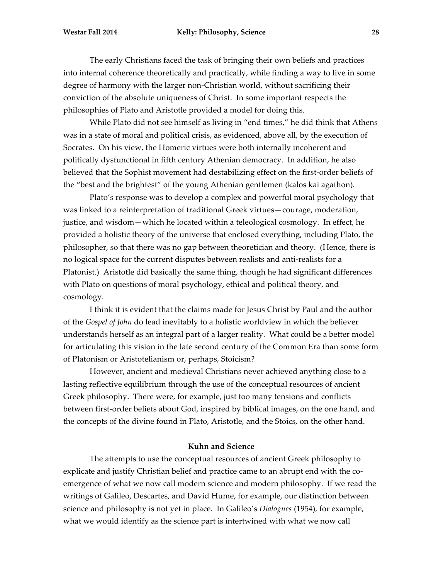The early Christians faced the task of bringing their own beliefs and practices into internal coherence theoretically and practically, while finding a way to live in some degree of harmony with the larger non-Christian world, without sacrificing their conviction of the absolute uniqueness of Christ. In some important respects the philosophies of Plato and Aristotle provided a model for doing this.

While Plato did not see himself as living in "end times," he did think that Athens was in a state of moral and political crisis, as evidenced, above all, by the execution of Socrates. On his view, the Homeric virtues were both internally incoherent and politically dysfunctional in fifth century Athenian democracy. In addition, he also believed that the Sophist movement had destabilizing effect on the first-order beliefs of the "best and the brightest" of the young Athenian gentlemen (kalos kai agathon).

Plato's response was to develop a complex and powerful moral psychology that was linked to a reinterpretation of traditional Greek virtues—courage, moderation, justice, and wisdom—which he located within a teleological cosmology. In effect, he provided a holistic theory of the universe that enclosed everything, including Plato, the philosopher, so that there was no gap between theoretician and theory. (Hence, there is no logical space for the current disputes between realists and anti-realists for a Platonist.) Aristotle did basically the same thing, though he had significant differences with Plato on questions of moral psychology, ethical and political theory, and cosmology.

I think it is evident that the claims made for Jesus Christ by Paul and the author of the *Gospel of John* do lead inevitably to a holistic worldview in which the believer understands herself as an integral part of a larger reality. What could be a better model for articulating this vision in the late second century of the Common Era than some form of Platonism or Aristotelianism or, perhaps, Stoicism?

However, ancient and medieval Christians never achieved anything close to a lasting reflective equilibrium through the use of the conceptual resources of ancient Greek philosophy. There were, for example, just too many tensions and conflicts between first-order beliefs about God, inspired by biblical images, on the one hand, and the concepts of the divine found in Plato, Aristotle, and the Stoics, on the other hand.

#### **Kuhn and Science**

The attempts to use the conceptual resources of ancient Greek philosophy to explicate and justify Christian belief and practice came to an abrupt end with the coemergence of what we now call modern science and modern philosophy. If we read the writings of Galileo, Descartes, and David Hume, for example, our distinction between science and philosophy is not yet in place. In Galileo's *Dialogues* (1954)*,* for example, what we would identify as the science part is intertwined with what we now call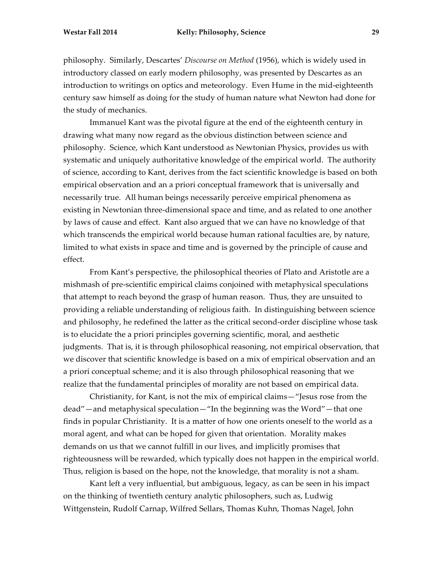philosophy. Similarly, Descartes' *Discourse on Method* (1956), which is widely used in introductory classed on early modern philosophy, was presented by Descartes as an introduction to writings on optics and meteorology. Even Hume in the mid-eighteenth century saw himself as doing for the study of human nature what Newton had done for the study of mechanics.

Immanuel Kant was the pivotal figure at the end of the eighteenth century in drawing what many now regard as the obvious distinction between science and philosophy. Science, which Kant understood as Newtonian Physics, provides us with systematic and uniquely authoritative knowledge of the empirical world. The authority of science, according to Kant, derives from the fact scientific knowledge is based on both empirical observation and an a priori conceptual framework that is universally and necessarily true. All human beings necessarily perceive empirical phenomena as existing in Newtonian three-dimensional space and time, and as related to one another by laws of cause and effect. Kant also argued that we can have no knowledge of that which transcends the empirical world because human rational faculties are, by nature, limited to what exists in space and time and is governed by the principle of cause and effect.

From Kant's perspective, the philosophical theories of Plato and Aristotle are a mishmash of pre-scientific empirical claims conjoined with metaphysical speculations that attempt to reach beyond the grasp of human reason. Thus, they are unsuited to providing a reliable understanding of religious faith. In distinguishing between science and philosophy, he redefined the latter as the critical second-order discipline whose task is to elucidate the a priori principles governing scientific, moral, and aesthetic judgments. That is, it is through philosophical reasoning, not empirical observation, that we discover that scientific knowledge is based on a mix of empirical observation and an a priori conceptual scheme; and it is also through philosophical reasoning that we realize that the fundamental principles of morality are not based on empirical data.

Christianity, for Kant, is not the mix of empirical claims—"Jesus rose from the dead"—and metaphysical speculation—"In the beginning was the Word"—that one finds in popular Christianity. It is a matter of how one orients oneself to the world as a moral agent, and what can be hoped for given that orientation. Morality makes demands on us that we cannot fulfill in our lives, and implicitly promises that righteousness will be rewarded, which typically does not happen in the empirical world. Thus, religion is based on the hope, not the knowledge, that morality is not a sham.

Kant left a very influential, but ambiguous, legacy, as can be seen in his impact on the thinking of twentieth century analytic philosophers, such as, Ludwig Wittgenstein, Rudolf Carnap, Wilfred Sellars, Thomas Kuhn, Thomas Nagel, John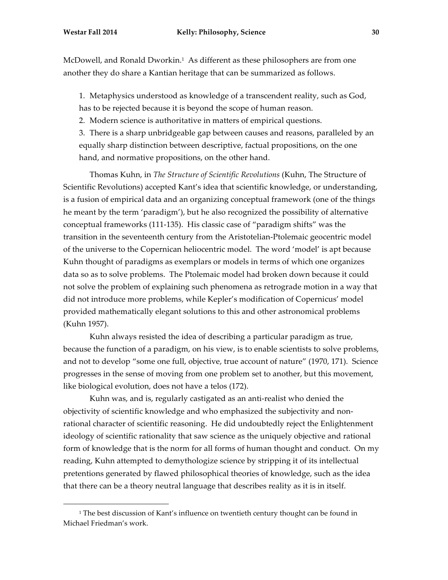McDowell, and Ronald Dworkin.1 As different as these philosophers are from one another they do share a Kantian heritage that can be summarized as follows.

1. Metaphysics understood as knowledge of a transcendent reality, such as God, has to be rejected because it is beyond the scope of human reason.

2. Modern science is authoritative in matters of empirical questions.

3. There is a sharp unbridgeable gap between causes and reasons, paralleled by an equally sharp distinction between descriptive, factual propositions, on the one hand, and normative propositions, on the other hand.

Thomas Kuhn, in *The Structure of Scientific Revolutions* (Kuhn, The Structure of Scientific Revolutions) accepted Kant's idea that scientific knowledge, or understanding, is a fusion of empirical data and an organizing conceptual framework (one of the things he meant by the term 'paradigm'), but he also recognized the possibility of alternative conceptual frameworks (111-135). His classic case of "paradigm shifts" was the transition in the seventeenth century from the Aristotelian-Ptolemaic geocentric model of the universe to the Copernican heliocentric model. The word 'model' is apt because Kuhn thought of paradigms as exemplars or models in terms of which one organizes data so as to solve problems. The Ptolemaic model had broken down because it could not solve the problem of explaining such phenomena as retrograde motion in a way that did not introduce more problems, while Kepler's modification of Copernicus' model provided mathematically elegant solutions to this and other astronomical problems (Kuhn 1957).

Kuhn always resisted the idea of describing a particular paradigm as true, because the function of a paradigm, on his view, is to enable scientists to solve problems, and not to develop "some one full, objective, true account of nature" (1970, 171). Science progresses in the sense of moving from one problem set to another, but this movement, like biological evolution, does not have a telos (172).

Kuhn was, and is, regularly castigated as an anti-realist who denied the objectivity of scientific knowledge and who emphasized the subjectivity and nonrational character of scientific reasoning. He did undoubtedly reject the Enlightenment ideology of scientific rationality that saw science as the uniquely objective and rational form of knowledge that is the norm for all forms of human thought and conduct. On my reading, Kuhn attempted to demythologize science by stripping it of its intellectual pretentions generated by flawed philosophical theories of knowledge, such as the idea that there can be a theory neutral language that describes reality as it is in itself.

 

 $1$ <sup>1</sup> The best discussion of Kant's influence on twentieth century thought can be found in Michael Friedman's work.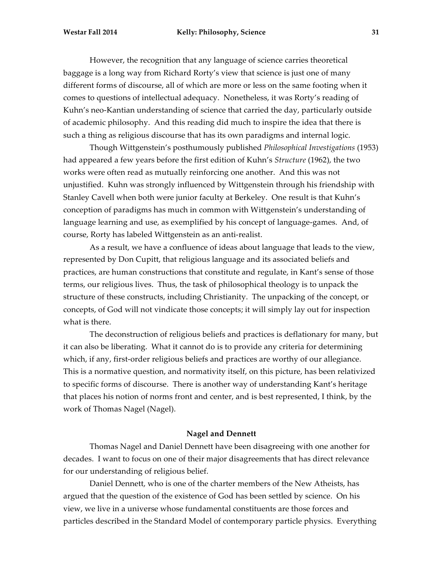However, the recognition that any language of science carries theoretical baggage is a long way from Richard Rorty's view that science is just one of many different forms of discourse, all of which are more or less on the same footing when it comes to questions of intellectual adequacy. Nonetheless, it was Rorty's reading of Kuhn's neo-Kantian understanding of science that carried the day, particularly outside of academic philosophy. And this reading did much to inspire the idea that there is such a thing as religious discourse that has its own paradigms and internal logic.

Though Wittgenstein's posthumously published *Philosophical Investigations* (1953) had appeared a few years before the first edition of Kuhn's *Structure* (1962), the two works were often read as mutually reinforcing one another. And this was not unjustified. Kuhn was strongly influenced by Wittgenstein through his friendship with Stanley Cavell when both were junior faculty at Berkeley. One result is that Kuhn's conception of paradigms has much in common with Wittgenstein's understanding of language learning and use, as exemplified by his concept of language-games. And, of course, Rorty has labeled Wittgenstein as an anti-realist.

As a result, we have a confluence of ideas about language that leads to the view, represented by Don Cupitt, that religious language and its associated beliefs and practices, are human constructions that constitute and regulate, in Kant's sense of those terms, our religious lives. Thus, the task of philosophical theology is to unpack the structure of these constructs, including Christianity. The unpacking of the concept, or concepts, of God will not vindicate those concepts; it will simply lay out for inspection what is there.

The deconstruction of religious beliefs and practices is deflationary for many, but it can also be liberating. What it cannot do is to provide any criteria for determining which, if any, first-order religious beliefs and practices are worthy of our allegiance. This is a normative question, and normativity itself, on this picture, has been relativized to specific forms of discourse. There is another way of understanding Kant's heritage that places his notion of norms front and center, and is best represented, I think, by the work of Thomas Nagel (Nagel).

#### **Nagel and Dennett**

Thomas Nagel and Daniel Dennett have been disagreeing with one another for decades. I want to focus on one of their major disagreements that has direct relevance for our understanding of religious belief.

Daniel Dennett, who is one of the charter members of the New Atheists, has argued that the question of the existence of God has been settled by science. On his view, we live in a universe whose fundamental constituents are those forces and particles described in the Standard Model of contemporary particle physics. Everything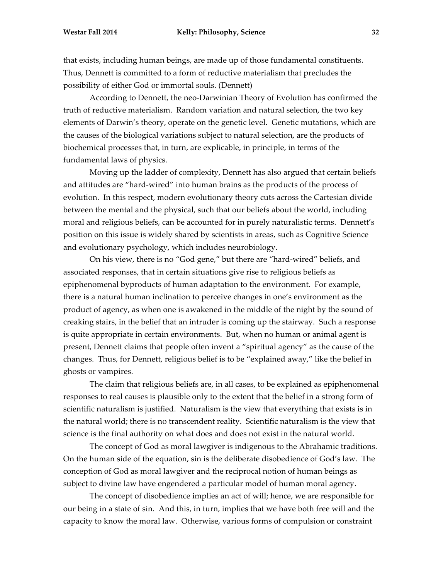that exists, including human beings, are made up of those fundamental constituents. Thus, Dennett is committed to a form of reductive materialism that precludes the possibility of either God or immortal souls. (Dennett)

According to Dennett, the neo-Darwinian Theory of Evolution has confirmed the truth of reductive materialism. Random variation and natural selection, the two key elements of Darwin's theory, operate on the genetic level. Genetic mutations, which are the causes of the biological variations subject to natural selection, are the products of biochemical processes that, in turn, are explicable, in principle, in terms of the fundamental laws of physics.

Moving up the ladder of complexity, Dennett has also argued that certain beliefs and attitudes are "hard-wired" into human brains as the products of the process of evolution. In this respect, modern evolutionary theory cuts across the Cartesian divide between the mental and the physical, such that our beliefs about the world, including moral and religious beliefs, can be accounted for in purely naturalistic terms. Dennett's position on this issue is widely shared by scientists in areas, such as Cognitive Science and evolutionary psychology, which includes neurobiology.

On his view, there is no "God gene," but there are "hard-wired" beliefs, and associated responses, that in certain situations give rise to religious beliefs as epiphenomenal byproducts of human adaptation to the environment. For example, there is a natural human inclination to perceive changes in one's environment as the product of agency, as when one is awakened in the middle of the night by the sound of creaking stairs, in the belief that an intruder is coming up the stairway. Such a response is quite appropriate in certain environments. But, when no human or animal agent is present, Dennett claims that people often invent a "spiritual agency" as the cause of the changes. Thus, for Dennett, religious belief is to be "explained away," like the belief in ghosts or vampires.

The claim that religious beliefs are, in all cases, to be explained as epiphenomenal responses to real causes is plausible only to the extent that the belief in a strong form of scientific naturalism is justified. Naturalism is the view that everything that exists is in the natural world; there is no transcendent reality. Scientific naturalism is the view that science is the final authority on what does and does not exist in the natural world.

The concept of God as moral lawgiver is indigenous to the Abrahamic traditions. On the human side of the equation, sin is the deliberate disobedience of God's law. The conception of God as moral lawgiver and the reciprocal notion of human beings as subject to divine law have engendered a particular model of human moral agency.

The concept of disobedience implies an act of will; hence, we are responsible for our being in a state of sin. And this, in turn, implies that we have both free will and the capacity to know the moral law. Otherwise, various forms of compulsion or constraint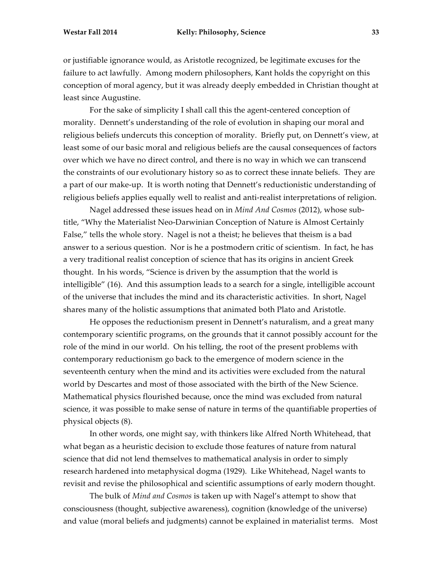or justifiable ignorance would, as Aristotle recognized, be legitimate excuses for the failure to act lawfully. Among modern philosophers, Kant holds the copyright on this conception of moral agency, but it was already deeply embedded in Christian thought at least since Augustine.

For the sake of simplicity I shall call this the agent-centered conception of morality. Dennett's understanding of the role of evolution in shaping our moral and religious beliefs undercuts this conception of morality. Briefly put, on Dennett's view, at least some of our basic moral and religious beliefs are the causal consequences of factors over which we have no direct control, and there is no way in which we can transcend the constraints of our evolutionary history so as to correct these innate beliefs. They are a part of our make-up. It is worth noting that Dennett's reductionistic understanding of religious beliefs applies equally well to realist and anti-realist interpretations of religion.

Nagel addressed these issues head on in *Mind And Cosmos* (2012), whose subtitle, "Why the Materialist Neo-Darwinian Conception of Nature is Almost Certainly False," tells the whole story. Nagel is not a theist; he believes that theism is a bad answer to a serious question. Nor is he a postmodern critic of scientism. In fact, he has a very traditional realist conception of science that has its origins in ancient Greek thought. In his words, "Science is driven by the assumption that the world is intelligible" (16). And this assumption leads to a search for a single, intelligible account of the universe that includes the mind and its characteristic activities. In short, Nagel shares many of the holistic assumptions that animated both Plato and Aristotle.

He opposes the reductionism present in Dennett's naturalism, and a great many contemporary scientific programs, on the grounds that it cannot possibly account for the role of the mind in our world. On his telling, the root of the present problems with contemporary reductionism go back to the emergence of modern science in the seventeenth century when the mind and its activities were excluded from the natural world by Descartes and most of those associated with the birth of the New Science. Mathematical physics flourished because, once the mind was excluded from natural science, it was possible to make sense of nature in terms of the quantifiable properties of physical objects (8).

In other words, one might say, with thinkers like Alfred North Whitehead, that what began as a heuristic decision to exclude those features of nature from natural science that did not lend themselves to mathematical analysis in order to simply research hardened into metaphysical dogma (1929). Like Whitehead, Nagel wants to revisit and revise the philosophical and scientific assumptions of early modern thought.

The bulk of *Mind and Cosmos* is taken up with Nagel's attempt to show that consciousness (thought, subjective awareness), cognition (knowledge of the universe) and value (moral beliefs and judgments) cannot be explained in materialist terms. Most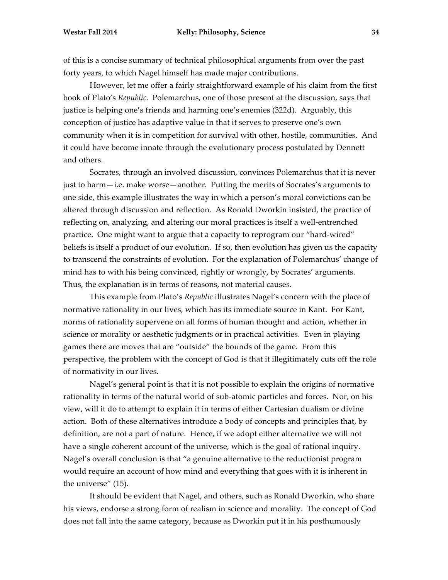of this is a concise summary of technical philosophical arguments from over the past forty years, to which Nagel himself has made major contributions.

However, let me offer a fairly straightforward example of his claim from the first book of Plato's *Republic.* Polemarchus, one of those present at the discussion, says that justice is helping one's friends and harming one's enemies (322d). Arguably, this conception of justice has adaptive value in that it serves to preserve one's own community when it is in competition for survival with other, hostile, communities. And it could have become innate through the evolutionary process postulated by Dennett and others.

Socrates, through an involved discussion, convinces Polemarchus that it is never just to harm—i.e. make worse—another. Putting the merits of Socrates's arguments to one side, this example illustrates the way in which a person's moral convictions can be altered through discussion and reflection. As Ronald Dworkin insisted, the practice of reflecting on, analyzing, and altering our moral practices is itself a well-entrenched practice. One might want to argue that a capacity to reprogram our "hard-wired" beliefs is itself a product of our evolution. If so, then evolution has given us the capacity to transcend the constraints of evolution. For the explanation of Polemarchus' change of mind has to with his being convinced, rightly or wrongly, by Socrates' arguments. Thus, the explanation is in terms of reasons, not material causes.

This example from Plato's *Republic* illustrates Nagel's concern with the place of normative rationality in our lives, which has its immediate source in Kant. For Kant, norms of rationality supervene on all forms of human thought and action, whether in science or morality or aesthetic judgments or in practical activities. Even in playing games there are moves that are "outside" the bounds of the game. From this perspective, the problem with the concept of God is that it illegitimately cuts off the role of normativity in our lives.

Nagel's general point is that it is not possible to explain the origins of normative rationality in terms of the natural world of sub-atomic particles and forces. Nor, on his view, will it do to attempt to explain it in terms of either Cartesian dualism or divine action. Both of these alternatives introduce a body of concepts and principles that, by definition, are not a part of nature. Hence, if we adopt either alternative we will not have a single coherent account of the universe, which is the goal of rational inquiry. Nagel's overall conclusion is that "a genuine alternative to the reductionist program would require an account of how mind and everything that goes with it is inherent in the universe" (15).

It should be evident that Nagel, and others, such as Ronald Dworkin, who share his views, endorse a strong form of realism in science and morality. The concept of God does not fall into the same category, because as Dworkin put it in his posthumously